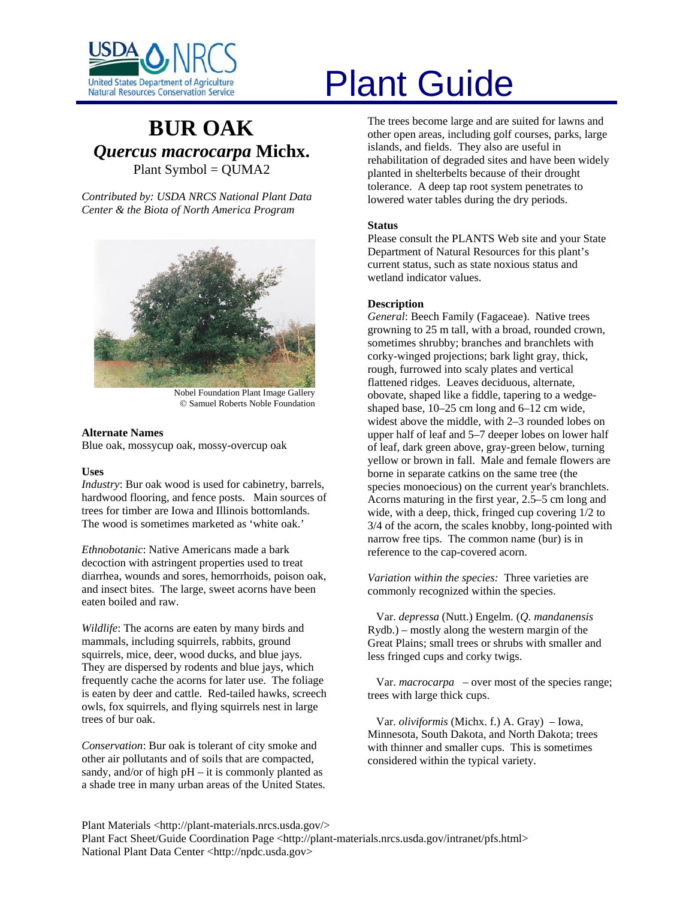

# **BUR OAK** *Quercus macrocarpa* **Michx.**  Plant Symbol = QUMA2

*Contributed by: USDA NRCS National Plant Data Center & the Biota of North America Program* 



Nobel Foundation Plant Image Gallery © Samuel Roberts Noble Foundation

#### **Alternate Names**

Blue oak, mossycup oak, mossy-overcup oak

#### **Uses**

*Industry*: Bur oak wood is used for cabinetry, barrels, hardwood flooring, and fence posts. Main sources of trees for timber are Iowa and Illinois bottomlands. The wood is sometimes marketed as 'white oak.'

*Ethnobotanic*: Native Americans made a bark decoction with astringent properties used to treat diarrhea, wounds and sores, hemorrhoids, poison oak, and insect bites. The large, sweet acorns have been eaten boiled and raw.

*Wildlife*: The acorns are eaten by many birds and mammals, including squirrels, rabbits, ground squirrels, mice, deer, wood ducks, and blue jays. They are dispersed by rodents and blue jays, which frequently cache the acorns for later use. The foliage is eaten by deer and cattle. Red-tailed hawks, screech owls, fox squirrels, and flying squirrels nest in large trees of bur oak.

*Conservation*: Bur oak is tolerant of city smoke and other air pollutants and of soils that are compacted, sandy, and/or of high  $pH - it$  is commonly planted as a shade tree in many urban areas of the United States.

# United States Department of Agriculture<br>Natural Resources Conservation Service

The trees become large and are suited for lawns and other open areas, including golf courses, parks, large islands, and fields. They also are useful in rehabilitation of degraded sites and have been widely planted in shelterbelts because of their drought tolerance. A deep tap root system penetrates to lowered water tables during the dry periods.

#### **Status**

Please consult the PLANTS Web site and your State Department of Natural Resources for this plant's current status, such as state noxious status and wetland indicator values.

### **Description**

*General*: Beech Family (Fagaceae). Native trees growning to 25 m tall, with a broad, rounded crown, sometimes shrubby; branches and branchlets with corky-winged projections; bark light gray, thick, rough, furrowed into scaly plates and vertical flattened ridges. Leaves deciduous, alternate, obovate, shaped like a fiddle, tapering to a wedgeshaped base, 10–25 cm long and 6–12 cm wide, widest above the middle, with 2–3 rounded lobes on upper half of leaf and 5–7 deeper lobes on lower half of leaf, dark green above, gray-green below, turning yellow or brown in fall. Male and female flowers are borne in separate catkins on the same tree (the species monoecious) on the current year's branchlets. Acorns maturing in the first year, 2.5–5 cm long and wide, with a deep, thick, fringed cup covering 1/2 to 3/4 of the acorn, the scales knobby, long-pointed with narrow free tips. The common name (bur) is in reference to the cap-covered acorn.

*Variation within the species:* Three varieties are commonly recognized within the species.

 Var. *depressa* (Nutt.) Engelm. (*Q. mandanensis* Rydb.) – mostly along the western margin of the Great Plains; small trees or shrubs with smaller and less fringed cups and corky twigs.

 Var. *macrocarpa* – over most of the species range; trees with large thick cups.

 Var. *oliviformis* (Michx. f.) A. Gray) – Iowa, Minnesota, South Dakota, and North Dakota; trees with thinner and smaller cups. This is sometimes considered within the typical variety.

Plant Materials <http://plant-materials.nrcs.usda.gov/> Plant Fact Sheet/Guide Coordination Page <http://plant-materials.nrcs.usda.gov/intranet/pfs.html> National Plant Data Center <http://npdc.usda.gov>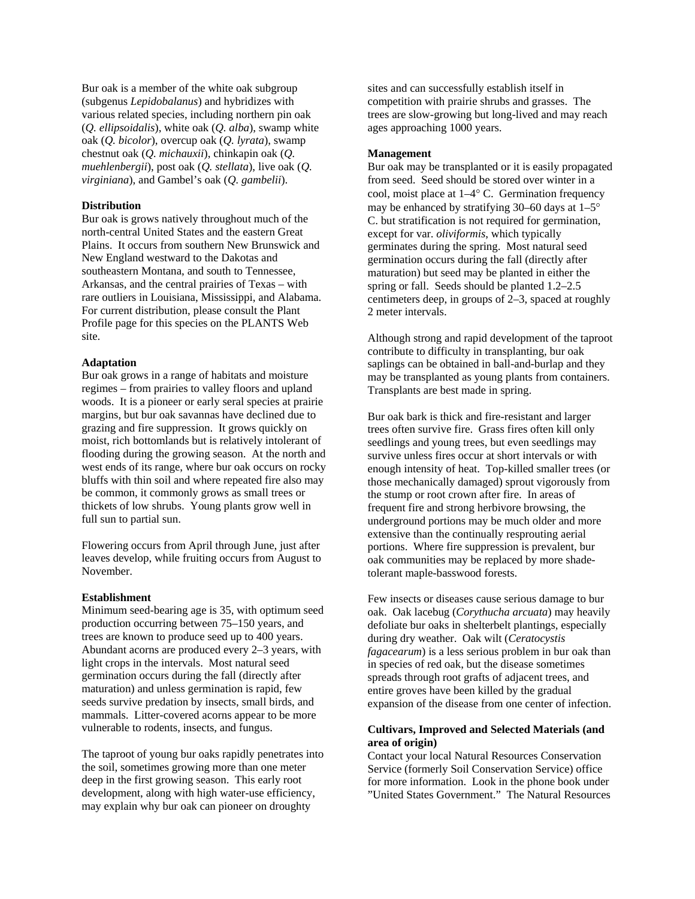Bur oak is a member of the white oak subgroup (subgenus *Lepidobalanus*) and hybridizes with various related species, including northern pin oak (*Q. ellipsoidalis*), white oak (*Q. alba*), swamp white oak (*Q. bicolor*), overcup oak (*Q. lyrata*), swamp chestnut oak (*Q. michauxii*), chinkapin oak (*Q. muehlenbergii*), post oak (*Q. stellata*), live oak (*Q. virginiana*), and Gambel's oak (*Q. gambelii*).

#### **Distribution**

Bur oak is grows natively throughout much of the north-central United States and the eastern Great Plains. It occurs from southern New Brunswick and New England westward to the Dakotas and southeastern Montana, and south to Tennessee, Arkansas, and the central prairies of Texas – with rare outliers in Louisiana, Mississippi, and Alabama. For current distribution, please consult the Plant Profile page for this species on the PLANTS Web site.

#### **Adaptation**

Bur oak grows in a range of habitats and moisture regimes – from prairies to valley floors and upland woods. It is a pioneer or early seral species at prairie margins, but bur oak savannas have declined due to grazing and fire suppression. It grows quickly on moist, rich bottomlands but is relatively intolerant of flooding during the growing season. At the north and west ends of its range, where bur oak occurs on rocky bluffs with thin soil and where repeated fire also may be common, it commonly grows as small trees or thickets of low shrubs. Young plants grow well in full sun to partial sun.

Flowering occurs from April through June, just after leaves develop, while fruiting occurs from August to November.

#### **Establishment**

Minimum seed-bearing age is 35, with optimum seed production occurring between 75–150 years, and trees are known to produce seed up to 400 years. Abundant acorns are produced every 2–3 years, with light crops in the intervals. Most natural seed germination occurs during the fall (directly after maturation) and unless germination is rapid, few seeds survive predation by insects, small birds, and mammals. Litter-covered acorns appear to be more vulnerable to rodents, insects, and fungus.

The taproot of young bur oaks rapidly penetrates into the soil, sometimes growing more than one meter deep in the first growing season. This early root development, along with high water-use efficiency, may explain why bur oak can pioneer on droughty

sites and can successfully establish itself in competition with prairie shrubs and grasses. The trees are slow-growing but long-lived and may reach ages approaching 1000 years.

#### **Management**

Bur oak may be transplanted or it is easily propagated from seed. Seed should be stored over winter in a cool, moist place at 1–4° C. Germination frequency may be enhanced by stratifying 30–60 days at  $1-5^{\circ}$ C. but stratification is not required for germination, except for var. *oliviformis*, which typically germinates during the spring. Most natural seed germination occurs during the fall (directly after maturation) but seed may be planted in either the spring or fall. Seeds should be planted 1.2–2.5 centimeters deep, in groups of  $2-3$ , spaced at roughly 2 meter intervals.

Although strong and rapid development of the taproot contribute to difficulty in transplanting, bur oak saplings can be obtained in ball-and-burlap and they may be transplanted as young plants from containers. Transplants are best made in spring.

Bur oak bark is thick and fire-resistant and larger trees often survive fire. Grass fires often kill only seedlings and young trees, but even seedlings may survive unless fires occur at short intervals or with enough intensity of heat. Top-killed smaller trees (or those mechanically damaged) sprout vigorously from the stump or root crown after fire. In areas of frequent fire and strong herbivore browsing, the underground portions may be much older and more extensive than the continually resprouting aerial portions. Where fire suppression is prevalent, bur oak communities may be replaced by more shadetolerant maple-basswood forests.

Few insects or diseases cause serious damage to bur oak. Oak lacebug (*Corythucha arcuata*) may heavily defoliate bur oaks in shelterbelt plantings, especially during dry weather. Oak wilt (*Ceratocystis fagacearum*) is a less serious problem in bur oak than in species of red oak, but the disease sometimes spreads through root grafts of adjacent trees, and entire groves have been killed by the gradual expansion of the disease from one center of infection.

# **Cultivars, Improved and Selected Materials (and area of origin)**

Contact your local Natural Resources Conservation Service (formerly Soil Conservation Service) office for more information. Look in the phone book under "United States Government." The Natural Resources